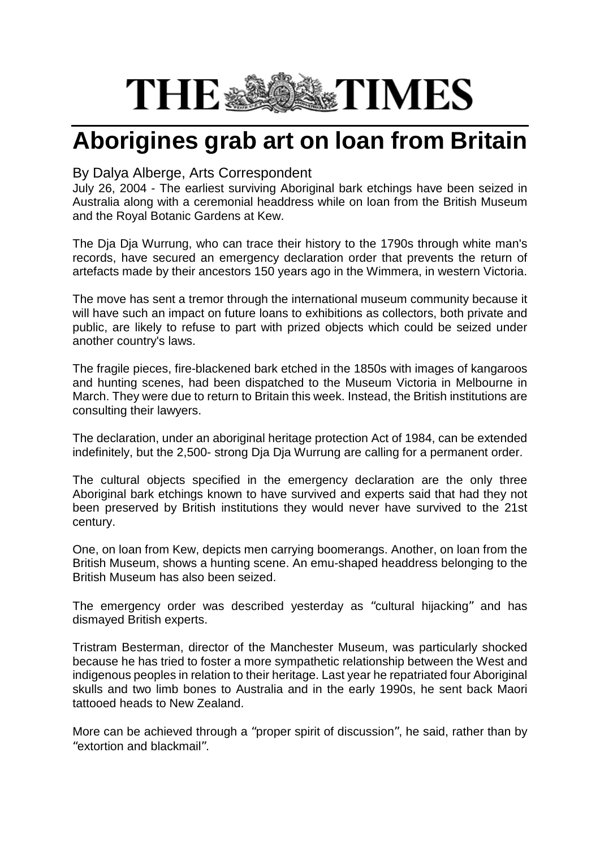## **THE SERIE TIMES**

## **Aborigines grab art on loan from Britain**

## By Dalya Alberge, Arts Correspondent

July 26, 2004 - The earliest surviving Aboriginal bark etchings have been seized in Australia along with a ceremonial headdress while on loan from the British Museum and the Royal Botanic Gardens at Kew.

The Dja Dja Wurrung, who can trace their history to the 1790s through white man's records, have secured an emergency declaration order that prevents the return of artefacts made by their ancestors 150 years ago in the Wimmera, in western Victoria.

The move has sent a tremor through the international museum community because it will have such an impact on future loans to exhibitions as collectors, both private and public, are likely to refuse to part with prized objects which could be seized under another country's laws.

The fragile pieces, fire-blackened bark etched in the 1850s with images of kangaroos and hunting scenes, had been dispatched to the Museum Victoria in Melbourne in March. They were due to return to Britain this week. Instead, the British institutions are consulting their lawyers.

The declaration, under an aboriginal heritage protection Act of 1984, can be extended indefinitely, but the 2,500- strong Dja Dja Wurrung are calling for a permanent order.

The cultural objects specified in the emergency declaration are the only three Aboriginal bark etchings known to have survived and experts said that had they not been preserved by British institutions they would never have survived to the 21st century.

One, on loan from Kew, depicts men carrying boomerangs. Another, on loan from the British Museum, shows a hunting scene. An emu-shaped headdress belonging to the British Museum has also been seized.

The emergency order was described yesterday as "cultural hijacking" and has dismayed British experts.

Tristram Besterman, director of the Manchester Museum, was particularly shocked because he has tried to foster a more sympathetic relationship between the West and indigenous peoples in relation to their heritage. Last year he repatriated four Aboriginal skulls and two limb bones to Australia and in the early 1990s, he sent back Maori tattooed heads to New Zealand.

More can be achieved through a "proper spirit of discussion", he said, rather than by "extortion and blackmail".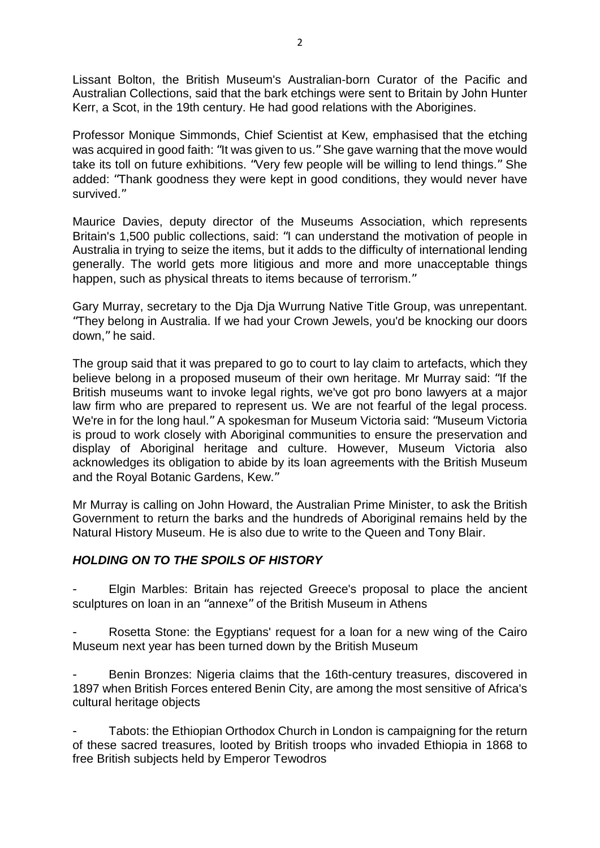Lissant Bolton, the British Museum's Australian-born Curator of the Pacific and Australian Collections, said that the bark etchings were sent to Britain by John Hunter Kerr, a Scot, in the 19th century. He had good relations with the Aborigines.

Professor Monique Simmonds, Chief Scientist at Kew, emphasised that the etching was acquired in good faith: "It was given to us." She gave warning that the move would take its toll on future exhibitions. "Very few people will be willing to lend things." She added: "Thank goodness they were kept in good conditions, they would never have survived."

Maurice Davies, deputy director of the Museums Association, which represents Britain's 1,500 public collections, said: "I can understand the motivation of people in Australia in trying to seize the items, but it adds to the difficulty of international lending generally. The world gets more litigious and more and more unacceptable things happen, such as physical threats to items because of terrorism."

Gary Murray, secretary to the Dja Dja Wurrung Native Title Group, was unrepentant. "They belong in Australia. If we had your Crown Jewels, you'd be knocking our doors down," he said.

The group said that it was prepared to go to court to lay claim to artefacts, which they believe belong in a proposed museum of their own heritage. Mr Murray said: "If the British museums want to invoke legal rights, we've got pro bono lawyers at a major law firm who are prepared to represent us. We are not fearful of the legal process. We're in for the long haul." A spokesman for Museum Victoria said: "Museum Victoria is proud to work closely with Aboriginal communities to ensure the preservation and display of Aboriginal heritage and culture. However, Museum Victoria also acknowledges its obligation to abide by its loan agreements with the British Museum and the Royal Botanic Gardens, Kew."

Mr Murray is calling on John Howard, the Australian Prime Minister, to ask the British Government to return the barks and the hundreds of Aboriginal remains held by the Natural History Museum. He is also due to write to the Queen and Tony Blair.

## *HOLDING ON TO THE SPOILS OF HISTORY*

Elgin Marbles: Britain has rejected Greece's proposal to place the ancient sculptures on loan in an "annexe" of the British Museum in Athens

Rosetta Stone: the Egyptians' request for a loan for a new wing of the Cairo Museum next year has been turned down by the British Museum

- Benin Bronzes: Nigeria claims that the 16th-century treasures, discovered in 1897 when British Forces entered Benin City, are among the most sensitive of Africa's cultural heritage objects

Tabots: the Ethiopian Orthodox Church in London is campaigning for the return of these sacred treasures, looted by British troops who invaded Ethiopia in 1868 to free British subjects held by Emperor Tewodros